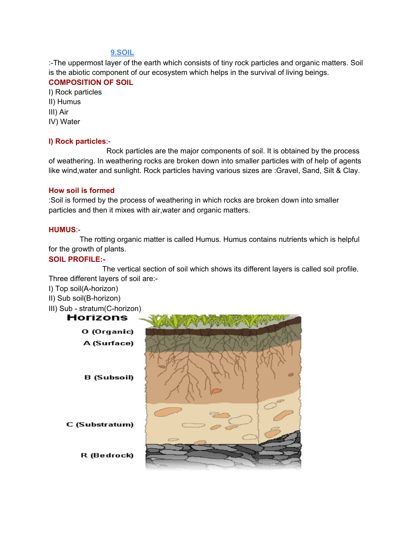# **9.SOIL**

:-The uppermost layer of the earth which consists of tiny rock particles and organic matters. Soil is the abiotic component of our ecosystem which helps in the survival of living beings.

### **COMPOSITION OF SOIL**

I) Rock particles

- II) Humus
- III) Air
- IV) Water

# **I) Rock particles**:-

Rock particles are the major components of soil. It is obtained by the process of weathering. In weathering rocks are broken down into smaller particles with of help of agents like wind,water and sunlight. Rock particles having various sizes are :Gravel, Sand, Silt & Clay.

### **How soil is formed**

:Soil is formed by the process of weathering in which rocks are broken down into smaller particles and then it mixes with air,water and organic matters.

#### **HUMUS**:-

The rotting organic matter is called Humus. Humus contains nutrients which is helpful for the growth of plants.

# **SOIL PROFILE:-**

The vertical section of soil which shows its different layers is called soil profile. Three different layers of soil are:-

- I) Top soil(A-horizon)
- II) Sub soil(B-horizon)
- III) Sub stratum(C-horizon)